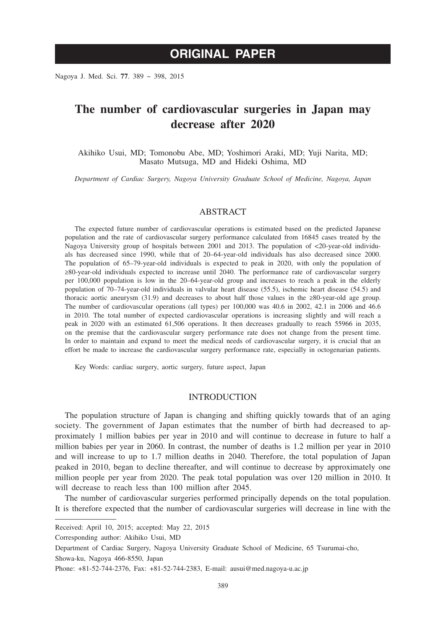# **ORIGINAL PAPER**

Nagoya J. Med. Sci. **77**. 389 ~ 398, 2015

# **The number of cardiovascular surgeries in Japan may decrease after 2020**

Akihiko Usui, MD; Tomonobu Abe, MD; Yoshimori Araki, MD; Yuji Narita, MD; Masato Mutsuga, MD and Hideki Oshima, MD

*Department of Cardiac Surgery, Nagoya University Graduate School of Medicine, Nagoya, Japan*

## ABSTRACT

The expected future number of cardiovascular operations is estimated based on the predicted Japanese population and the rate of cardiovascular surgery performance calculated from 16845 cases treated by the Nagoya University group of hospitals between 2001 and 2013. The population of  $\langle 20$ -year-old individuals has decreased since 1990, while that of 20–64-year-old individuals has also decreased since 2000. The population of 65–79-year-old individuals is expected to peak in 2020, with only the population of ≥80-year-old individuals expected to increase until 2040. The performance rate of cardiovascular surgery per 100,000 population is low in the 20–64-year-old group and increases to reach a peak in the elderly population of 70–74-year-old individuals in valvular heart disease (55.5), ischemic heart disease (54.5) and thoracic aortic aneurysm (31.9) and decreases to about half those values in the  $\geq 80$ -year-old age group. The number of cardiovascular operations (all types) per 100,000 was 40.6 in 2002, 42.1 in 2006 and 46.6 in 2010. The total number of expected cardiovascular operations is increasing slightly and will reach a peak in 2020 with an estimated 61,506 operations. It then decreases gradually to reach 55966 in 2035, on the premise that the cardiovascular surgery performance rate does not change from the present time. In order to maintain and expand to meet the medical needs of cardiovascular surgery, it is crucial that an effort be made to increase the cardiovascular surgery performance rate, especially in octogenarian patients.

Key Words: cardiac surgery, aortic surgery, future aspect, Japan

## INTRODUCTION

The population structure of Japan is changing and shifting quickly towards that of an aging society. The government of Japan estimates that the number of birth had decreased to approximately 1 million babies per year in 2010 and will continue to decrease in future to half a million babies per year in 2060. In contrast, the number of deaths is 1.2 million per year in 2010 and will increase to up to 1.7 million deaths in 2040. Therefore, the total population of Japan peaked in 2010, began to decline thereafter, and will continue to decrease by approximately one million people per year from 2020. The peak total population was over 120 million in 2010. It will decrease to reach less than 100 million after 2045.

The number of cardiovascular surgeries performed principally depends on the total population. It is therefore expected that the number of cardiovascular surgeries will decrease in line with the

Received: April 10, 2015; accepted: May 22, 2015

Corresponding author: Akihiko Usui, MD

Department of Cardiac Surgery, Nagoya University Graduate School of Medicine, 65 Tsurumai-cho, Showa-ku, Nagoya 466-8550, Japan

Phone: +81-52-744-2376, Fax: +81-52-744-2383, E-mail: ausui@med.nagoya-u.ac.jp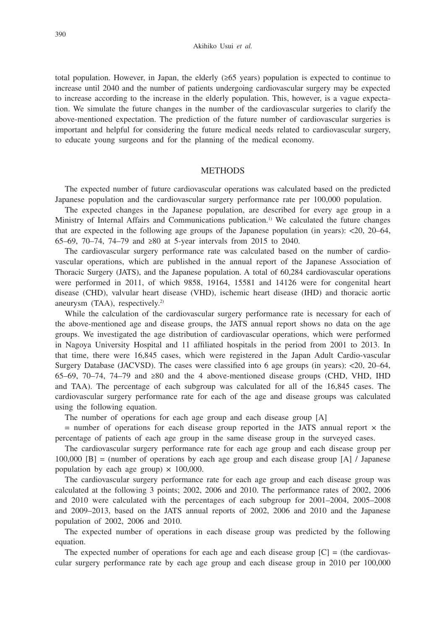#### Akihiko Usui *et al.*

total population. However, in Japan, the elderly (≥65 years) population is expected to continue to increase until 2040 and the number of patients undergoing cardiovascular surgery may be expected to increase according to the increase in the elderly population. This, however, is a vague expectation. We simulate the future changes in the number of the cardiovascular surgeries to clarify the above-mentioned expectation. The prediction of the future number of cardiovascular surgeries is important and helpful for considering the future medical needs related to cardiovascular surgery, to educate young surgeons and for the planning of the medical economy.

## **METHODS**

The expected number of future cardiovascular operations was calculated based on the predicted Japanese population and the cardiovascular surgery performance rate per 100,000 population.

The expected changes in the Japanese population, are described for every age group in a Ministry of Internal Affairs and Communications publication.<sup>1)</sup> We calculated the future changes that are expected in the following age groups of the Japanese population (in years): <20, 20–64, 65–69, 70–74, 74–79 and ≥80 at 5-year intervals from 2015 to 2040.

The cardiovascular surgery performance rate was calculated based on the number of cardiovascular operations, which are published in the annual report of the Japanese Association of Thoracic Surgery (JATS), and the Japanese population. A total of 60,284 cardiovascular operations were performed in 2011, of which 9858, 19164, 15581 and 14126 were for congenital heart disease (CHD), valvular heart disease (VHD), ischemic heart disease (IHD) and thoracic aortic aneurysm (TAA), respectively.2)

While the calculation of the cardiovascular surgery performance rate is necessary for each of the above-mentioned age and disease groups, the JATS annual report shows no data on the age groups. We investigated the age distribution of cardiovascular operations, which were performed in Nagoya University Hospital and 11 affiliated hospitals in the period from 2001 to 2013. In that time, there were 16,845 cases, which were registered in the Japan Adult Cardio-vascular Surgery Database (JACVSD). The cases were classified into 6 age groups (in years): <20, 20–64, 65–69, 70–74, 74–79 and ≥80 and the 4 above-mentioned disease groups (CHD, VHD, IHD and TAA). The percentage of each subgroup was calculated for all of the 16,845 cases. The cardiovascular surgery performance rate for each of the age and disease groups was calculated using the following equation.

The number of operations for each age group and each disease group [A]

 $=$  number of operations for each disease group reported in the JATS annual report  $\times$  the percentage of patients of each age group in the same disease group in the surveyed cases.

The cardiovascular surgery performance rate for each age group and each disease group per 100,000 [B] = (number of operations by each age group and each disease group [A]  $/$  Japanese population by each age group)  $\times$  100,000.

The cardiovascular surgery performance rate for each age group and each disease group was calculated at the following 3 points; 2002, 2006 and 2010. The performance rates of 2002, 2006 and 2010 were calculated with the percentages of each subgroup for 2001–2004, 2005–2008 and 2009–2013, based on the JATS annual reports of 2002, 2006 and 2010 and the Japanese population of 2002, 2006 and 2010.

The expected number of operations in each disease group was predicted by the following equation.

The expected number of operations for each age and each disease group  $[C] =$  (the cardiovascular surgery performance rate by each age group and each disease group in 2010 per 100,000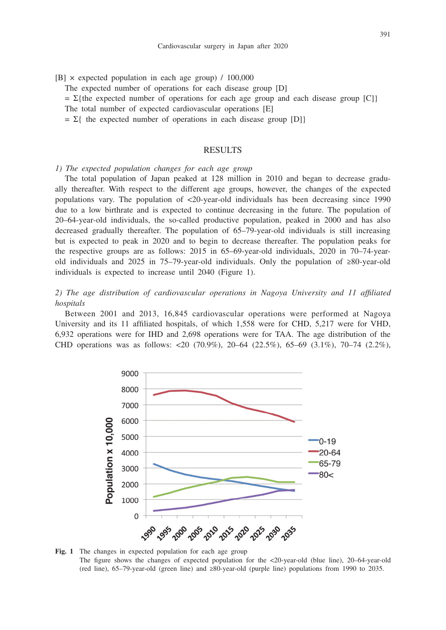$[B] \times$  expected population in each age group) / 100,000

The expected number of operations for each disease group [D]

 $= \Sigma$ {the expected number of operations for each age group and each disease group [C]}

The total number of expected cardiovascular operations [E]

 $= \Sigma$ { the expected number of operations in each disease group [D]}

## **RESULTS**

*1) The expected population changes for each age group*

The total population of Japan peaked at 128 million in 2010 and began to decrease gradually thereafter. With respect to the different age groups, however, the changes of the expected populations vary. The population of <20-year-old individuals has been decreasing since 1990 due to a low birthrate and is expected to continue decreasing in the future. The population of 20–64-year-old individuals, the so-called productive population, peaked in 2000 and has also decreased gradually thereafter. The population of 65–79-year-old individuals is still increasing but is expected to peak in 2020 and to begin to decrease thereafter. The population peaks for the respective groups are as follows: 2015 in 65–69-year-old individuals, 2020 in 70–74-yearold individuals and 2025 in 75–79-year-old individuals. Only the population of ≥80-year-old individuals is expected to increase until 2040 (Figure 1).

*2) The age distribution of cardiovascular operations in Nagoya University and 11 affiliated hospitals*

Between 2001 and 2013, 16,845 cardiovascular operations were performed at Nagoya University and its 11 affiliated hospitals, of which 1,558 were for CHD, 5,217 were for VHD, 6,932 operations were for IHD and 2,698 operations were for TAA. The age distribution of the CHD operations was as follows: <20 (70.9%), 20–64 (22.5%), 65–69 (3.1%), 70–74 (2.2%),



**Fig. 1** The changes in expected population for each age group The figure shows the changes of expected population for the <20-year-old (blue line), 20–64-year-old (red line), 65–79-year-old (green line) and ≥80-year-old (purple line) populations from 1990 to 2035.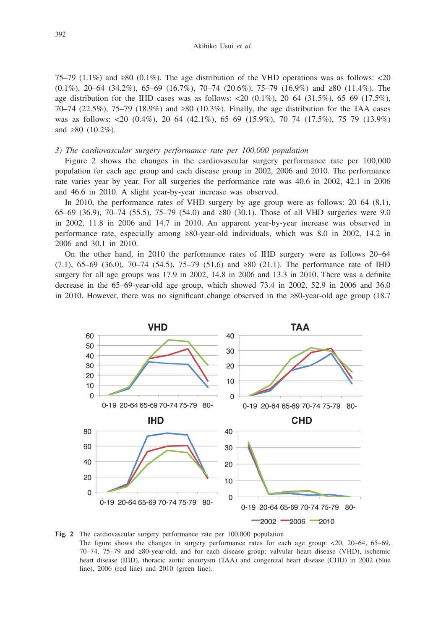75–79 (1.1%) and ≥80 (0.1%). The age distribution of the VHD operations was as follows: <20 (0.1%), 20–64 (34.2%), 65–69 (16.7%), 70–74 (20.6%), 75–79 (16.9%) and  $\geq 80$  (11.4%). The age distribution for the IHD cases was as follows:  $\langle 20 (0.1\%), 20-64 (31.5\%), 65-69 (17.5\%), \rangle$ 70–74 (22.5%), 75–79 (18.9%) and ≥80 (10.3%). Finally, the age distribution for the TAA cases was as follows: <20 (0.4%), 20–64 (42.1%), 65–69 (15.9%), 70–74 (17.5%), 75–79 (13.9%) and  $\geq 80$  (10.2%).

### *3) The cardiovascular surgery performance rate per 100,000 population*

Figure 2 shows the changes in the cardiovascular surgery performance rate per 100,000 population for each age group and each disease group in 2002, 2006 and 2010. The performance rate varies year by year. For all surgeries the performance rate was 40.6 in 2002, 42.1 in 2006 and 46.6 in 2010. A slight year-by-year increase was observed.

In 2010, the performance rates of VHD surgery by age group were as follows: 20–64 (8.1), 65–69 (36.9), 70–74 (55.5), 75–79 (54.0) and ≥80 (30.1). Those of all VHD surgeries were 9.0 in 2002, 11.8 in 2006 and 14.7 in 2010. An apparent year-by-year increase was observed in performance rate, especially among ≥80-year-old individuals, which was 8.0 in 2002, 14.2 in 2006 and 30.1 in 2010.

On the other hand, in 2010 the performance rates of IHD surgery were as follows 20–64 (7.1), 65–69 (36.0), 70–74 (54.5), 75–79 (51.6) and ≥80 (21.1). The performance rate of IHD surgery for all age groups was 17.9 in 2002, 14.8 in 2006 and 13.3 in 2010. There was a definite decrease in the 65–69-year-old age group, which showed 73.4 in 2002, 52.9 in 2006 and 36.0 in 2010. However, there was no significant change observed in the ≥80-year-old age group (18.7



**Fig. 2** The cardiovascular surgery performance rate per 100,000 population The figure shows the changes in surgery performance rates for each age group: <20, 20–64, 65–69, 70–74, 75–79 and ≥80-year-old, and for each disease group; valvular heart disease (VHD), ischemic heart disease (IHD), thoracic aortic aneurysm (TAA) and congenital heart disease (CHD) in 2002 (blue line), 2006 (red line) and 2010 (green line).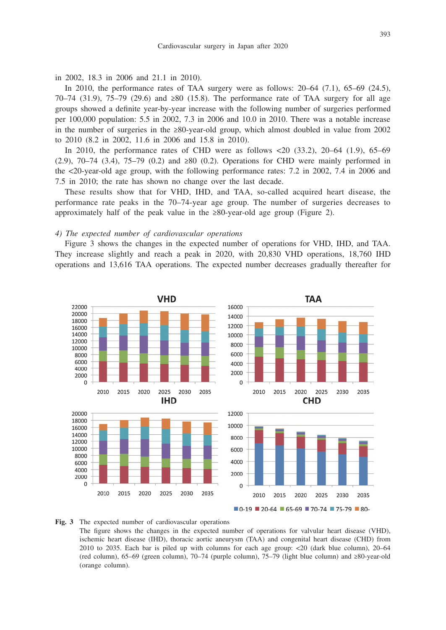in 2002, 18.3 in 2006 and 21.1 in 2010).

In 2010, the performance rates of TAA surgery were as follows:  $20-64$  (7.1),  $65-69$  (24.5), 70–74 (31.9), 75–79 (29.6) and ≥80 (15.8). The performance rate of TAA surgery for all age groups showed a definite year-by-year increase with the following number of surgeries performed per 100,000 population: 5.5 in 2002, 7.3 in 2006 and 10.0 in 2010. There was a notable increase in the number of surgeries in the ≥80-year-old group, which almost doubled in value from 2002 to 2010 (8.2 in 2002, 11.6 in 2006 and 15.8 in 2010).

In 2010, the performance rates of CHD were as follows <20 (33.2), 20–64 (1.9), 65–69 (2.9), 70–74 (3.4), 75–79 (0.2) and ≥80 (0.2). Operations for CHD were mainly performed in the <20-year-old age group, with the following performance rates: 7.2 in 2002, 7.4 in 2006 and 7.5 in 2010; the rate has shown no change over the last decade.

These results show that for VHD, IHD, and TAA, so-called acquired heart disease, the performance rate peaks in the 70–74-year age group. The number of surgeries decreases to approximately half of the peak value in the  $\geq 80$ -year-old age group (Figure 2).

#### *4) The expected number of cardiovascular operations*

Figure 3 shows the changes in the expected number of operations for VHD, IHD, and TAA. They increase slightly and reach a peak in 2020, with 20,830 VHD operations, 18,760 IHD operations and 13,616 TAA operations. The expected number decreases gradually thereafter for



**Fig. 3** The expected number of cardiovascular operations The figure shows the changes in the expected number of operations for valvular heart disease (VHD), ischemic heart disease (IHD), thoracic aortic aneurysm (TAA) and congenital heart disease (CHD) from 2010 to 2035. Each bar is piled up with columns for each age group: <20 (dark blue column), 20–64 (red column), 65–69 (green column), 70–74 (purple column), 75–79 (light blue column) and ≥80-year-old (orange column).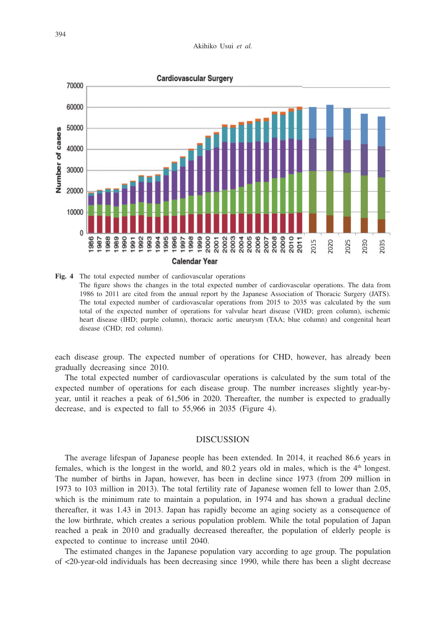

**Fig. 4** The total expected number of cardiovascular operations The figure shows the changes in the total expected number of cardiovascular operations. The data from 1986 to 2011 are cited from the annual report by the Japanese Association of Thoracic Surgery (JATS). The total expected number of cardiovascular operations from 2015 to 2035 was calculated by the sum total of the expected number of operations for valvular heart disease (VHD; green column), ischemic heart disease (IHD; purple column), thoracic aortic aneurysm (TAA; blue column) and congenital heart disease (CHD; red column).

each disease group. The expected number of operations for CHD, however, has already been gradually decreasing since 2010.

The total expected number of cardiovascular operations is calculated by the sum total of the expected number of operations for each disease group. The number increases slightly year-byyear, until it reaches a peak of 61,506 in 2020. Thereafter, the number is expected to gradually decrease, and is expected to fall to 55,966 in 2035 (Figure 4).

### DISCUSSION

The average lifespan of Japanese people has been extended. In 2014, it reached 86.6 years in females, which is the longest in the world, and  $80.2$  years old in males, which is the  $4<sup>th</sup>$  longest. The number of births in Japan, however, has been in decline since 1973 (from 209 million in 1973 to 103 million in 2013). The total fertility rate of Japanese women fell to lower than 2.05, which is the minimum rate to maintain a population, in 1974 and has shown a gradual decline thereafter, it was 1.43 in 2013. Japan has rapidly become an aging society as a consequence of the low birthrate, which creates a serious population problem. While the total population of Japan reached a peak in 2010 and gradually decreased thereafter, the population of elderly people is expected to continue to increase until 2040.

The estimated changes in the Japanese population vary according to age group. The population of <20-year-old individuals has been decreasing since 1990, while there has been a slight decrease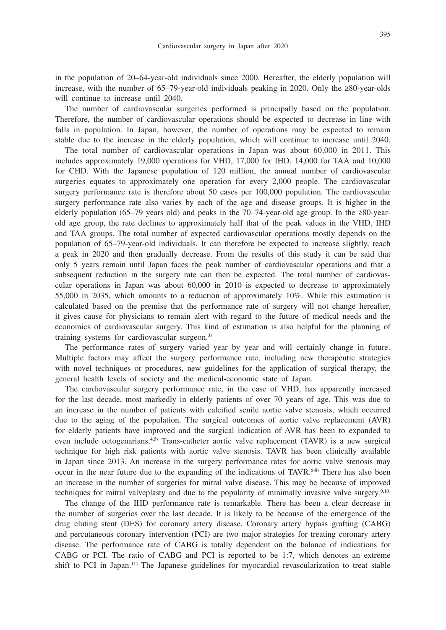in the population of 20–64-year-old individuals since 2000. Hereafter, the elderly population will increase, with the number of 65–79-year-old individuals peaking in 2020. Only the ≥80-year-olds will continue to increase until 2040.

The number of cardiovascular surgeries performed is principally based on the population. Therefore, the number of cardiovascular operations should be expected to decrease in line with falls in population. In Japan, however, the number of operations may be expected to remain stable due to the increase in the elderly population, which will continue to increase until 2040.

The total number of cardiovascular operations in Japan was about 60,000 in 2011. This includes approximately 19,000 operations for VHD, 17,000 for IHD, 14,000 for TAA and 10,000 for CHD. With the Japanese population of 120 million, the annual number of cardiovascular surgeries equates to approximately one operation for every 2,000 people. The cardiovascular surgery performance rate is therefore about 50 cases per 100,000 population. The cardiovascular surgery performance rate also varies by each of the age and disease groups. It is higher in the elderly population (65–79 years old) and peaks in the 70–74-year-old age group. In the  $\geq 80$ -yearold age group, the rate declines to approximately half that of the peak values in the VHD, IHD and TAA groups. The total number of expected cardiovascular operations mostly depends on the population of 65–79-year-old individuals. It can therefore be expected to increase slightly, reach a peak in 2020 and then gradually decrease. From the results of this study it can be said that only 5 years remain until Japan faces the peak number of cardiovascular operations and that a subsequent reduction in the surgery rate can then be expected. The total number of cardiovascular operations in Japan was about 60,000 in 2010 is expected to decrease to approximately 55,000 in 2035, which amounts to a reduction of approximately 10%. While this estimation is calculated based on the premise that the performance rate of surgery will not change hereafter, it gives cause for physicians to remain alert with regard to the future of medical needs and the economics of cardiovascular surgery. This kind of estimation is also helpful for the planning of training systems for cardiovascular surgeon.3)

The performance rates of surgery varied year by year and will certainly change in future. Multiple factors may affect the surgery performance rate, including new therapeutic strategies with novel techniques or procedures, new guidelines for the application of surgical therapy, the general health levels of society and the medical-economic state of Japan.

The cardiovascular surgery performance rate, in the case of VHD, has apparently increased for the last decade, most markedly in elderly patients of over 70 years of age. This was due to an increase in the number of patients with calcified senile aortic valve stenosis, which occurred due to the aging of the population. The surgical outcomes of aortic valve replacement (AVR) for elderly patients have improved and the surgical indication of AVR has been to expanded to even include octogenarians.<sup>4,5)</sup> Trans-catheter aortic valve replacement (TAVR) is a new surgical technique for high risk patients with aortic valve stenosis. TAVR has been clinically available in Japan since 2013. An increase in the surgery performance rates for aortic valve stenosis may occur in the near future due to the expanding of the indications of TAVR.<sup>6-8)</sup> There has also been an increase in the number of surgeries for mitral valve disease. This may be because of improved techniques for mitral valveplasty and due to the popularity of minimally invasive valve surgery.<sup>9,10)</sup>

The change of the IHD performance rate is remarkable. There has been a clear decrease in the number of surgeries over the last decade. It is likely to be because of the emergence of the drug eluting stent (DES) for coronary artery disease. Coronary artery bypass grafting (CABG) and percutaneous coronary intervention (PCI) are two major strategies for treating coronary artery disease. The performance rate of CABG is totally dependent on the balance of indications for CABG or PCI. The ratio of CABG and PCI is reported to be 1:7, which denotes an extreme shift to PCI in Japan.<sup>11)</sup> The Japanese guidelines for myocardial revascularization to treat stable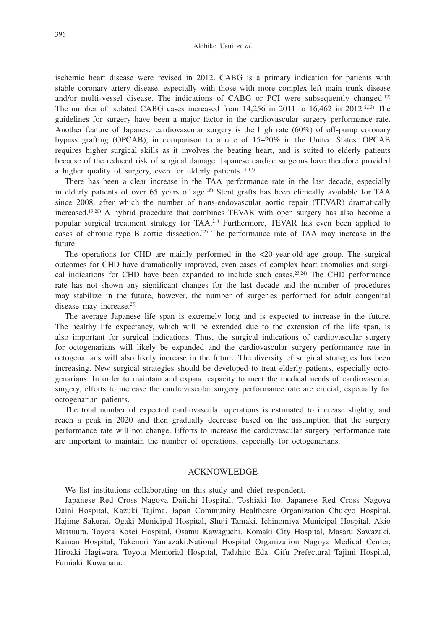ischemic heart disease were revised in 2012. CABG is a primary indication for patients with stable coronary artery disease, especially with those with more complex left main trunk disease and/or multi-vessel disease. The indications of CABG or PCI were subsequently changed.12) The number of isolated CABG cases increased from 14,256 in 2011 to 16,462 in 2012.2,13) The guidelines for surgery have been a major factor in the cardiovascular surgery performance rate. Another feature of Japanese cardiovascular surgery is the high rate (60%) of off-pump coronary bypass grafting (OPCAB), in comparison to a rate of 15–20% in the United States. OPCAB requires higher surgical skills as it involves the beating heart, and is suited to elderly patients because of the reduced risk of surgical damage. Japanese cardiac surgeons have therefore provided a higher quality of surgery, even for elderly patients. $14-17$ 

There has been a clear increase in the TAA performance rate in the last decade, especially in elderly patients of over 65 years of age.<sup>18)</sup> Stent grafts has been clinically available for TAA since 2008, after which the number of trans-endovascular aortic repair (TEVAR) dramatically increased.19,20) A hybrid procedure that combines TEVAR with open surgery has also become a popular surgical treatment strategy for TAA.21) Furthermore, TEVAR has even been applied to cases of chronic type B aortic dissection.22) The performance rate of TAA may increase in the future.

The operations for CHD are mainly performed in the <20-year-old age group. The surgical outcomes for CHD have dramatically improved, even cases of complex heart anomalies and surgical indications for CHD have been expanded to include such cases.<sup>23,24</sup>) The CHD performance rate has not shown any significant changes for the last decade and the number of procedures may stabilize in the future, however, the number of surgeries performed for adult congenital disease may increase.<sup>25)</sup>

The average Japanese life span is extremely long and is expected to increase in the future. The healthy life expectancy, which will be extended due to the extension of the life span, is also important for surgical indications. Thus, the surgical indications of cardiovascular surgery for octogenarians will likely be expanded and the cardiovascular surgery performance rate in octogenarians will also likely increase in the future. The diversity of surgical strategies has been increasing. New surgical strategies should be developed to treat elderly patients, especially octogenarians. In order to maintain and expand capacity to meet the medical needs of cardiovascular surgery, efforts to increase the cardiovascular surgery performance rate are crucial, especially for octogenarian patients.

The total number of expected cardiovascular operations is estimated to increase slightly, and reach a peak in 2020 and then gradually decrease based on the assumption that the surgery performance rate will not change. Efforts to increase the cardiovascular surgery performance rate are important to maintain the number of operations, especially for octogenarians.

#### ACKNOWLEDGE

We list institutions collaborating on this study and chief respondent.

Japanese Red Cross Nagoya Daiichi Hospital, Toshiaki Ito. Japanese Red Cross Nagoya Daini Hospital, Kazuki Tajima. Japan Community Healthcare Organization Chukyo Hospital, Hajime Sakurai. Ogaki Municipal Hospital, Shuji Tamaki. Ichinomiya Municipal Hospital, Akio Matsuura. Toyota Kosei Hospital, Osamu Kawaguchi. Komaki City Hospital, Masaru Sawazaki. Kainan Hospital, Takenori Yamazaki.National Hospital Organization Nagoya Medical Center, Hiroaki Hagiwara. Toyota Memorial Hospital, Tadahito Eda. Gifu Prefectural Tajimi Hospital, Fumiaki Kuwabara.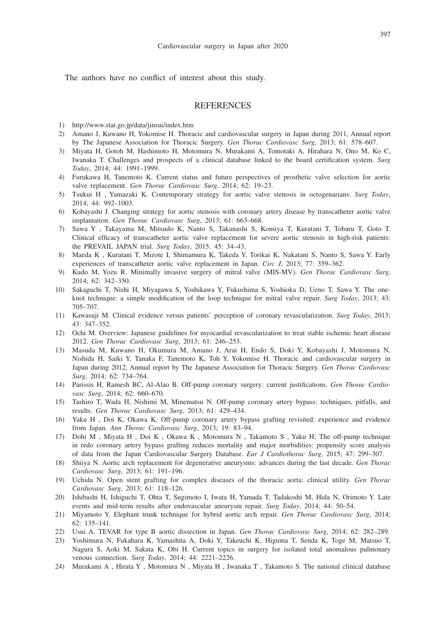The authors have no conflict of interest about this study.

## **REFERENCES**

- 1) http://www.stat.go.jp/data/jinsui/index.htm
- 2) Amano J, Kuwano H, Yokomise H. Thoracic and cardiovascular surgery in Japan during 2011, Annual report by The Japanese Association for Thoracic Surgery. *Gen Thorac Cardiovasc Surg*, 2013; 61: 578–607.
- 3) Miyata H, Gotoh M, Hashimoto H, Motomura N, Murakami A, Tomotaki A, Hirahara N, Ono M, Ko C, Iwanaka T. Challenges and prospects of a clinical database linked to the board certification system. *Surg Today*, 2014; 44: 1991–1999.
- 4) Furukawa H, Tanemoto K. Current status and future perspectives of prosthetic valve selection for aortic valve replacement. *Gen Thorac Cardiovasc Surg*, 2014; 62: 19–23.
- 5) Tsukui H , Yamazaki K. Contemporary strategy for aortic valve stenosis in octogenarians. *Surg Today*, 2014; 44: 992–1003.
- 6) Kobayashi J. Changing strategy for aortic stenosis with coronary artery disease by transcatheter aortic valve implantation. *Gen Thorac Cardiovasc Surg*, 2013; 61: 663–668.
- 7) Sawa Y , Takayama M, Mitsudo K, Nanto S, Takanashi S, Komiya T, Kuratani T, Tobaru T, Goto T. Clinical efficacy of transcatheter aortic valve replacement for severe aortic stenosis in high-risk patients: the PREVAIL JAPAN trial. *Surg Today*, 2015: 45: 34–43.
- 8) Maeda K , Kuratani T, Mizote I, Shimamura K, Takeda Y, Torikai K, Nakatani S, Nanto S, Sawa Y. Early experiences of transcatheter aortic valve replacement in Japan. *Circ J*, 2013; 77: 359–362.
- 9) Kudo M, Yozu R. Minimally invasive surgery of mitral valve (MIS-MV). *Gen Thorac Cardiovasc Surg*, 2014; 62: 342–350.
- 10) Sakaguchi T, Nishi H, Miyagawa S, Yoshikawa Y, Fukushima S, Yoshioka D, Ueno T, Sawa Y. The oneknot technique: a simple modification of the loop technique for mitral valve repair. *Surg Today*, 2013; 43: 705–707.
- 11) Kawasuji M. Clinical evidence versus patients' perception of coronary revascularization. *Surg Today*, 2013; 43: 347–352.
- 12) Ochi M. Overview: Japanese guidelines for myocardial revascularization to treat stable ischemic heart disease 2012. *Gen Thorac Cardiovasc Surg*, 2013; 61: 246–253.
- 13) Masuda M, Kuwano H, Okumura M, Amano J, Arai H, Endo S, Doki Y, Kobayashi J, Motomura N, Nishida H, Saiki Y, Tanaka F, Tanemoto K, Toh Y, Yokomise H. Thoracic and cardiovascular surgery in Japan during 2012, Annual report by The Japanese Association for Thoracic Surgery. *Gen Thorac Cardiovasc Surg*, 2014; 62: 734–764.
- 14) Parissis H, Ramesh BC, Al-Alao B. Off-pump coronary surgery: current justifications. *Gen Thorac Cardiovasc Surg*, 2014; 62: 660–670.
- 15) Tashiro T, Wada H, Nishimi M, Minematsu N. Off-pump coronary artery bypass: techniques, pitfalls, and results. *Gen Thorac Cardiovasc Surg*, 2013; 61: 429–434.
- 16) Yaku H , Doi K, Okawa K. Off-pump coronary artery bypass grafting revisited: experience and evidence from Japan. *Ann Thorac Cardiovasc Surg*, 2013; 19: 83–94.
- 17) Dohi M , Miyata H , Doi K , Okawa K , Motomura N , Takamoto S , Yaku H; The off-pump technique in redo coronary artery bypass grafting reduces mortality and major morbidities: propensity score analysis of data from the Japan Cardiovascular Surgery Database. *Eur J Cardiothorac Surg*, 2015; 47: 299–307.
- 18) Shiiya N. Aortic arch replacement for degenerative aneurysms: advances during the last decade. *Gen Thorac Cardiovasc Surg*, 2013; 61: 191–196.
- 19) Uchida N. Open stent grafting for complex diseases of the thoracic aorta: clinical utility. *Gen Thorac Cardiovasc Surg*, 2013; 61: 118–126.
- 20) Ishibashi H, Ishiguchi T, Ohta T, Sugimoto I, Iwata H, Yamada T, Tadakoshi M, Hida N, Orimoto Y. Late events and mid-term results after endovascular aneurysm repair. *Surg Today*, 2014; 44: 50–54.
- 21) Miyamoto Y. Elephant trunk technique for hybrid aortic arch repair. *Gen Thorac Cardiovasc Surg*, 2014; 62: 135–141.
- 22) Usui A. TEVAR for type B aortic dissection in Japan. *Gen Thorac Cardiovasc Surg*, 2014; 62: 282–289.
- 23) Yoshimura N, Fukahara K, Yamashita A, Doki Y, Takeuchi K, Higuma T, Senda K, Toge M, Matsuo T, Nagura S, Aoki M, Sakata K, Obi H. Current topics in surgery for isolated total anomalous pulmonary venous connection. *Surg Today*, 2014; 44: 2221–2226.
- 24) Murakami A , Hirata Y , Motomura N , Miyata H , Iwanaka T , Takamoto S. The national clinical database